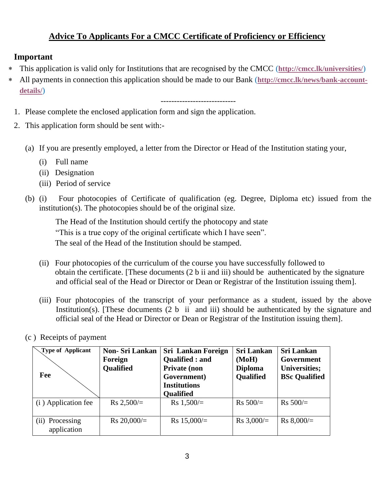## **Advice To Applicants For a CMCC Certificate of Proficiency or Efficiency**

## **Important**

- This application is valid only for Institutions that are recognised by the CMCC (**<http://cmcc.lk/universities/>**)
- All payments in connection this application should be made to our Bank (**[http://cmcc.lk/news/bank-account](http://cmcc.lk/news/bank-account-details/)[details/](http://cmcc.lk/news/bank-account-details/)**)

----------------------------

- 1. Please complete the enclosed application form and sign the application.
- 2. This application form should be sent with:-
	- (a) If you are presently employed, a letter from the Director or Head of the Institution stating your,
		- (i) Full name
		- (ii) Designation
		- (iii) Period of service
	- (b) (i) Four photocopies of Certificate of qualification (eg. Degree, Diploma etc) issued from the institution(s). The photocopies should be of the original size.

 The Head of the Institution should certify the photocopy and state "This is a true copy of the original certificate which I have seen". The seal of the Head of the Institution should be stamped.

- (ii) Four photocopies of the curriculum of the course you have successfully followed to obtain the certificate. [These documents (2 b ii and iii) should be authenticated by the signature and official seal of the Head or Director or Dean or Registrar of the Institution issuing them].
- (iii) Four photocopies of the transcript of your performance as a student, issued by the above Institution(s). [These documents  $(2 b$  ii and iii) should be authenticated by the signature and official seal of the Head or Director or Dean or Registrar of the Institution issuing them].
- (c ) Receipts of payment

| <b>Type of Applicant</b><br>Fee  | <b>Non-Sri Lankan</b><br>Foreign<br><b>Qualified</b> | <b>Sri Lankan Foreign</b><br>Qualified : and<br><b>Private (non</b><br>Government)<br><b>Institutions</b><br><b>Qualified</b> | <b>Sri Lankan</b><br>(MoH)<br><b>Diploma</b><br>Qualified | <b>Sri Lankan</b><br>Government<br><b>Universities;</b><br><b>BSc Qualified</b> |
|----------------------------------|------------------------------------------------------|-------------------------------------------------------------------------------------------------------------------------------|-----------------------------------------------------------|---------------------------------------------------------------------------------|
| (i) Application fee              | $Rs 2,500/=$                                         | $Rs 1,500/=$                                                                                                                  | $Rs 500/=$                                                | $Rs 500/=$                                                                      |
| Processing<br>(i)<br>application | Rs $20,000/$ =                                       | $Rs 15,000/=$                                                                                                                 | Rs $3,000/=$                                              | $Rs 8,000/=$                                                                    |